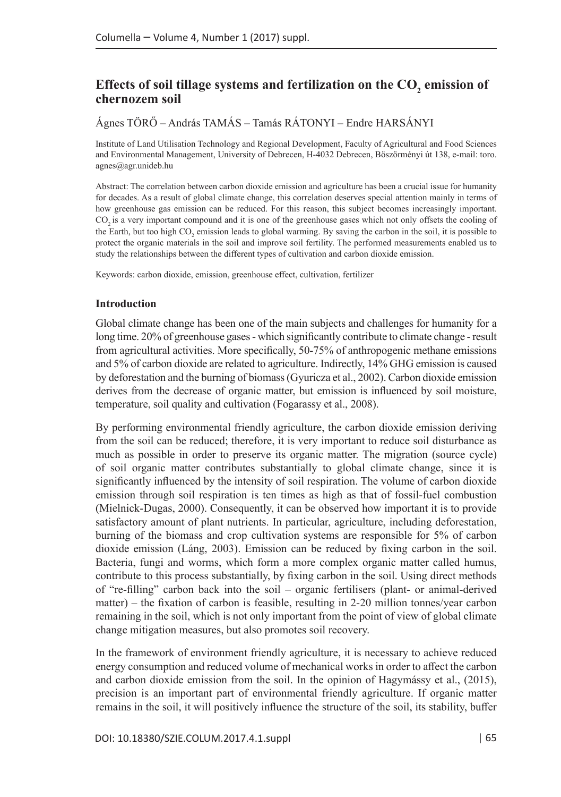# Effects of soil tillage systems and fertilization on the  $CO<sub>2</sub>$  emission of **chernozem soil**

Ágnes TÖRŐ – András TAMÁS – Tamás RÁTONYI – Endre HARSÁNYI

Institute of Land Utilisation Technology and Regional Development, Faculty of Agricultural and Food Sciences and Environmental Management, University of Debrecen, H-4032 Debrecen, Böszörményi út 138, e-mail: [toro.](mailto:toro.agnes@agr.unideb.hu) [agnes@agr.unideb.hu](mailto:toro.agnes@agr.unideb.hu)

Abstract: The correlation between carbon dioxide emission and agriculture has been a crucial issue for humanity for decades. As a result of global climate change, this correlation deserves special attention mainly in terms of how greenhouse gas emission can be reduced. For this reason, this subject becomes increasingly important. CO<sub>2</sub> is a very important compound and it is one of the greenhouse gases which not only offsets the cooling of the Earth, but too high  $CO_2$  emission leads to global warming. By saving the carbon in the soil, it is possible to protect the organic materials in the soil and improve soil fertility. The performed measurements enabled us to study the relationships between the different types of cultivation and carbon dioxide emission.

Keywords: carbon dioxide, emission, greenhouse effect, cultivation, fertilizer

#### **Introduction**

Global climate change has been one of the main subjects and challenges for humanity for a long time. 20% of greenhouse gases - which significantly contribute to climate change - result from agricultural activities. More specifically, 50-75% of anthropogenic methane emissions and 5% of carbon dioxide are related to agriculture. Indirectly, 14% GHG emission is caused by deforestation and the burning of biomass (Gyuricza et al., 2002). Carbon dioxide emission derives from the decrease of organic matter, but emission is influenced by soil moisture, temperature, soil quality and cultivation (Fogarassy et al., 2008).

By performing environmental friendly agriculture, the carbon dioxide emission deriving from the soil can be reduced; therefore, it is very important to reduce soil disturbance as much as possible in order to preserve its organic matter. The migration (source cycle) of soil organic matter contributes substantially to global climate change, since it is significantly influenced by the intensity of soil respiration. The volume of carbon dioxide emission through soil respiration is ten times as high as that of fossil-fuel combustion (Mielnick-Dugas, 2000). Consequently, it can be observed how important it is to provide satisfactory amount of plant nutrients. In particular, agriculture, including deforestation, burning of the biomass and crop cultivation systems are responsible for 5% of carbon dioxide emission (Láng, 2003). Emission can be reduced by fixing carbon in the soil. Bacteria, fungi and worms, which form a more complex organic matter called humus, contribute to this process substantially, by fixing carbon in the soil. Using direct methods of "re-filling" carbon back into the soil – organic fertilisers (plant- or animal-derived matter) – the fixation of carbon is feasible, resulting in 2-20 million tonnes/year carbon remaining in the soil, which is not only important from the point of view of global climate change mitigation measures, but also promotes soil recovery.

In the framework of environment friendly agriculture, it is necessary to achieve reduced energy consumption and reduced volume of mechanical works in order to affect the carbon and carbon dioxide emission from the soil. In the opinion of Hagymássy et al., (2015), precision is an important part of environmental friendly agriculture. If organic matter remains in the soil, it will positively influence the structure of the soil, its stability, buffer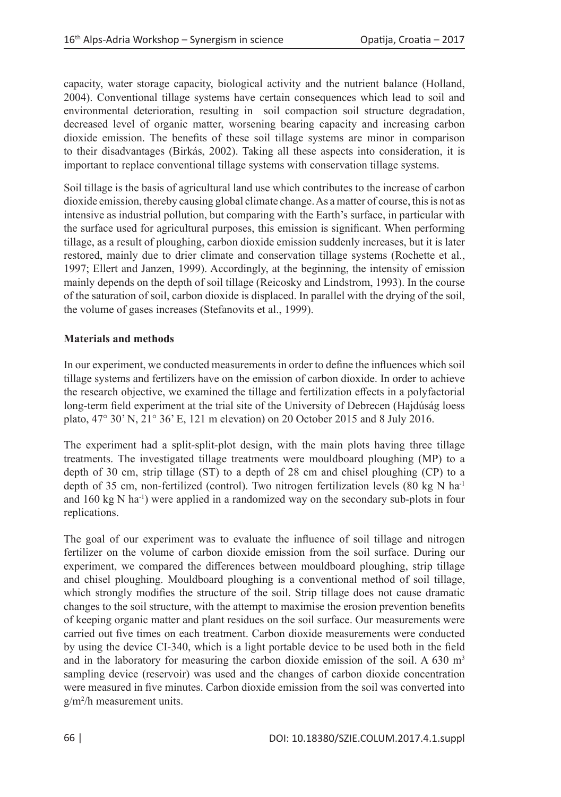capacity, water storage capacity, biological activity and the nutrient balance (Holland, 2004). Conventional tillage systems have certain consequences which lead to soil and environmental deterioration, resulting in soil compaction soil structure degradation, decreased level of organic matter, worsening bearing capacity and increasing carbon dioxide emission. The benefits of these soil tillage systems are minor in comparison to their disadvantages (Birkás, 2002). Taking all these aspects into consideration, it is important to replace conventional tillage systems with conservation tillage systems.

Soil tillage is the basis of agricultural land use which contributes to the increase of carbon dioxide emission, thereby causing global climate change. As a matter of course, this is not as intensive as industrial pollution, but comparing with the Earth's surface, in particular with the surface used for agricultural purposes, this emission is significant. When performing tillage, as a result of ploughing, carbon dioxide emission suddenly increases, but it is later restored, mainly due to drier climate and conservation tillage systems (Rochette et al., 1997; Ellert and Janzen, 1999). Accordingly, at the beginning, the intensity of emission mainly depends on the depth of soil tillage (Reicosky and Lindstrom, 1993). In the course of the saturation of soil, carbon dioxide is displaced. In parallel with the drying of the soil, the volume of gases increases (Stefanovits et al., 1999).

## **Materials and methods**

In our experiment, we conducted measurements in order to define the influences which soil tillage systems and fertilizers have on the emission of carbon dioxide. In order to achieve the research objective, we examined the tillage and fertilization effects in a polyfactorial long-term field experiment at the trial site of the University of Debrecen (Hajdúság loess plato, 47° 30' N, 21° 36' E, 121 m elevation) on 20 October 2015 and 8 July 2016.

The experiment had a split-split-plot design, with the main plots having three tillage treatments. The investigated tillage treatments were mouldboard ploughing (MP) to a depth of 30 cm, strip tillage (ST) to a depth of 28 cm and chisel ploughing (CP) to a depth of 35 cm, non-fertilized (control). Two nitrogen fertilization levels (80 kg N ha<sup>-1</sup> and  $160 \text{ kg N}$  ha<sup>-1</sup>) were applied in a randomized way on the secondary sub-plots in four replications.

The goal of our experiment was to evaluate the influence of soil tillage and nitrogen fertilizer on the volume of carbon dioxide emission from the soil surface. During our experiment, we compared the differences between mouldboard ploughing, strip tillage and chisel ploughing. Mouldboard ploughing is a conventional method of soil tillage, which strongly modifies the structure of the soil. Strip tillage does not cause dramatic changes to the soil structure, with the attempt to maximise the erosion prevention benefits of keeping organic matter and plant residues on the soil surface. Our measurements were carried out five times on each treatment. Carbon dioxide measurements were conducted by using the device CI-340, which is a light portable device to be used both in the field and in the laboratory for measuring the carbon dioxide emission of the soil. A 630  $\text{m}^3$ sampling device (reservoir) was used and the changes of carbon dioxide concentration were measured in five minutes. Carbon dioxide emission from the soil was converted into g/m<sup>2</sup> /h measurement units.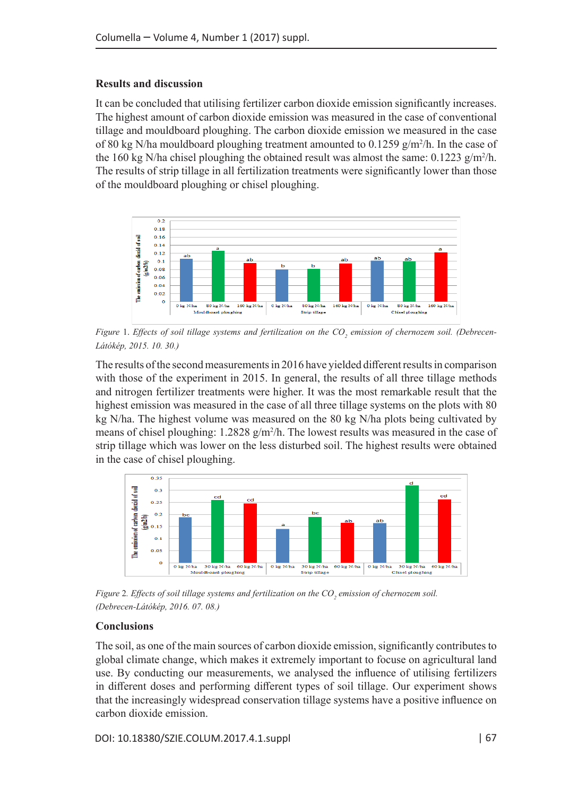### **Results and discussion**

It can be concluded that utilising fertilizer carbon dioxide emission significantly increases. The highest amount of carbon dioxide emission was measured in the case of conventional tillage and mouldboard ploughing. The carbon dioxide emission we measured in the case of 80 kg N/ha mouldboard ploughing treatment amounted to  $0.1259$  g/m<sup>2</sup>/h. In the case of the 160 kg N/ha chisel ploughing the obtained result was almost the same:  $0.1223$  g/m<sup>2</sup>/h. The results of strip tillage in all fertilization treatments were significantly lower than those of the mouldboard ploughing or chisel ploughing.



*Figure* 1. *Effects of soil tillage systems and fertilization on the CO<sup>2</sup> emission of chernozem soil. (Debrecen-Látókép, 2015. 10. 30.)*

The results of the second measurements in 2016 have yielded different results in comparison with those of the experiment in 2015. In general, the results of all three tillage methods and nitrogen fertilizer treatments were higher. It was the most remarkable result that the highest emission was measured in the case of all three tillage systems on the plots with 80 kg N/ha. The highest volume was measured on the 80 kg N/ha plots being cultivated by means of chisel ploughing: 1.2828 g/m<sup>2</sup>/h. The lowest results was measured in the case of strip tillage which was lower on the less disturbed soil. The highest results were obtained in the case of chisel ploughing.



*Figure* 2*. Effects of soil tillage systems and fertilization on the CO<sup>2</sup> emission of chernozem soil. (Debrecen-Látókép, 2016. 07. 08.)*

#### **Conclusions**

The soil, as one of the main sources of carbon dioxide emission, significantly contributes to global climate change, which makes it extremely important to focuse on agricultural land use. By conducting our measurements, we analysed the influence of utilising fertilizers in different doses and performing different types of soil tillage. Our experiment shows that the increasingly widespread conservation tillage systems have a positive influence on carbon dioxide emission.